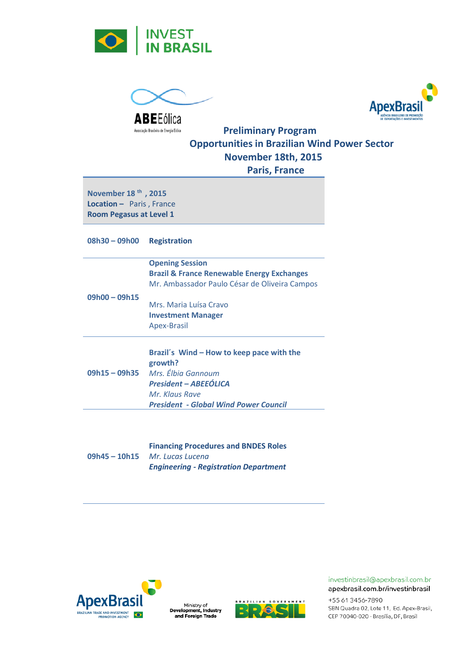



**ApexBrasi** 

Associação Brasileira de Energia Edica<br> **Preliminary Program Opportunities in Brazilian Wind Power Sector November 18th, 2015 Paris, France** 

**November 18 th , 2015 Location –** Paris , France **Room Pegasus at Level 1** 

**08h30 – 09h00 Registration**

|                 | <b>Opening Session</b>                                |
|-----------------|-------------------------------------------------------|
|                 | <b>Brazil &amp; France Renewable Energy Exchanges</b> |
|                 | Mr. Ambassador Paulo César de Oliveira Campos         |
| $09h00 - 09h15$ |                                                       |
|                 | Mrs. Maria Luísa Cravo                                |
|                 | <b>Investment Manager</b>                             |
|                 | Apex-Brasil                                           |
|                 |                                                       |
|                 |                                                       |
|                 |                                                       |

|               | Brazil's Wind - How to keep pace with the    |
|---------------|----------------------------------------------|
|               | growth?                                      |
| 09h15 - 09h35 | Mrs. Élbia Gannoum                           |
|               | <b>President - ABEEÓLICA</b>                 |
|               | Mr. Klaus Rave                               |
|               | <b>President - Global Wind Power Council</b> |

|                 | <b>Financing Procedures and BNDES Roles</b>  |
|-----------------|----------------------------------------------|
| $09h45 - 10h15$ | Mr. Lucas Lucena                             |
|                 | <b>Engineering - Registration Department</b> |







## investinbrasil@apexbrasil.com.br apexbrasil.com.br/investinbrasil

+55 61 3456-7890 SBN Quadra 02, Lote 11, Ed. Apex-Brasil, CEP 70040-020 - Brasília, DF, Brasil